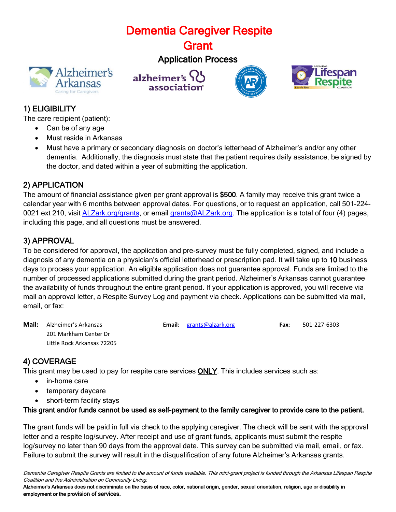# Dementia Caregiver Respite

**Grant** 

# Application Process









# 1) ELIGIBILITY

The care recipient (patient):

- Can be of any age
- Must reside in Arkansas
- Must have a primary or secondary diagnosis on doctor's letterhead of Alzheimer's and/or any other dementia. Additionally, the diagnosis must state that the patient requires daily assistance, be signed by the doctor, and dated within a year of submitting the application.

### 2) APPLICATION

The amount of financial assistance given per grant approval is \$500. A family may receive this grant twice a calendar year with 6 months between approval dates. For questions, or to request an application, call 501-224- 0021 ext 210, visit **ALZark.org/grants**, or email [grants@ALZark.org.](mailto:grants@ALZark.org) The application is a total of four (4) pages, including this page, and all questions must be answered.

# 3) APPROVAL

To be considered for approval, the application and pre-survey must be fully completed, signed, and include a diagnosis of any dementia on a physician's official letterhead or prescription pad. It will take up to 10 business days to process your application. An eligible application does not guarantee approval. Funds are limited to the number of processed applications submitted during the grant period. Alzheimer's Arkansas cannot guarantee the availability of funds throughout the entire grant period. If your application is approved, you will receive via mail an approval letter, a Respite Survey Log and payment via check. Applications can be submitted via mail, email, or fax:

**Mail:** Alzheimer's Arkansas **Email**: [grants@alzark.org](mailto:grants@alzark.org) **Fax**: 501-227-6303 201 Markham Center Dr Little Rock Arkansas 72205

### 4) COVERAGE

This grant may be used to pay for respite care services ONLY. This includes services such as:

- in-home care
- temporary daycare
- short-term facility stays

### This grant and/or funds cannot be used as self-payment to the family caregiver to provide care to the patient.

The grant funds will be paid in full via check to the applying caregiver. The check will be sent with the approval letter and a respite log/survey. After receipt and use of grant funds, applicants must submit the respite log/survey no later than 90 days from the approval date. This survey can be submitted via mail, email, or fax. Failure to submit the survey will result in the disqualification of any future Alzheimer's Arkansas grants.

Dementia Caregiver Respite Grants are limited to the amount of funds available. This mini-grant project is funded through the Arkansas Lifespan Respite Coalition and the Administration on Community Living.

Alzheimer's Arkansas does not discriminate on the basis of race, color, national origin, gender, sexual orientation, religion, age or disability in employment or the provision of services.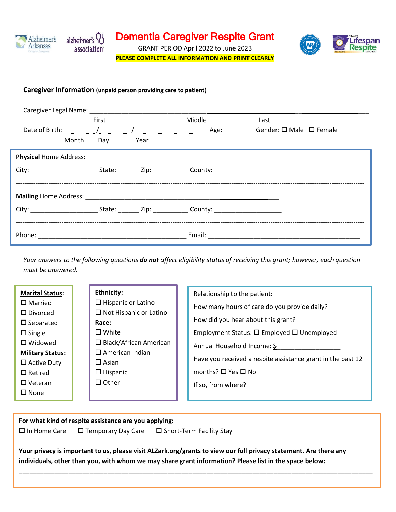

GRANT PERIOD April 2022 to June 2023 **PLEASE COMPLETE ALL INFORMATION AND PRINT CLEARLY**

#### **Caregiver Information (unpaid person providing care to patient)**

|                                                                                                           | First |      | Middle | Last                                    |  |
|-----------------------------------------------------------------------------------------------------------|-------|------|--------|-----------------------------------------|--|
|                                                                                                           |       |      |        | Gender: $\square$ Male $\square$ Female |  |
| Month Day                                                                                                 |       | Year |        |                                         |  |
|                                                                                                           |       |      |        |                                         |  |
| City: ____________________________State: __________Zip: _______________County: __________________________ |       |      |        |                                         |  |
|                                                                                                           |       |      |        |                                         |  |
| City: ____________________________State: __________Zip: _______________County: __________________________ |       |      |        |                                         |  |
|                                                                                                           |       |      |        |                                         |  |

*Your answers to the following questions do not affect eligibility status of receiving this grant; however, each question must be answered.*

| <b>Marital Status:</b><br>$\Box$ Married<br>$\Box$ Divorced<br>$\square$ Separated<br>$\Box$ Single<br>$\square$ Widowed<br><b>Military Status:</b><br>$\Box$ Active Duty<br>$\Box$ Retired<br>$\Box$ Veteran<br>$\square$ None |  | <b>Ethnicity:</b><br>$\Box$ Hispanic or Latino<br>$\Box$ Not Hispanic or Latino<br>Race:<br>$\square$ White<br>$\Box$ Black/African American<br>$\Box$ American Indian<br>$\square$ Asian<br>$\Box$ Hispanic<br>$\Box$ Other |  | Relationship to the patient:<br>How many hours of care do you provide daily?<br>How did you hear about this grant?<br>Employment Status: □ Employed □ Unemployed<br>Annual Household Income: \$<br>Have you received a respite assistance grant in the past 12<br>months? $\Box$ Yes $\Box$ No<br>If so, from where? |
|---------------------------------------------------------------------------------------------------------------------------------------------------------------------------------------------------------------------------------|--|------------------------------------------------------------------------------------------------------------------------------------------------------------------------------------------------------------------------------|--|----------------------------------------------------------------------------------------------------------------------------------------------------------------------------------------------------------------------------------------------------------------------------------------------------------------------|
|---------------------------------------------------------------------------------------------------------------------------------------------------------------------------------------------------------------------------------|--|------------------------------------------------------------------------------------------------------------------------------------------------------------------------------------------------------------------------------|--|----------------------------------------------------------------------------------------------------------------------------------------------------------------------------------------------------------------------------------------------------------------------------------------------------------------------|

**For what kind of respite assistance are you applying:**  $\square$  In Home Care  $\square$  Temporary Day Care  $\square$  Short-Term Facility Stay

**Your privacy is important to us, please visit ALZark.org/grants to view our full privacy statement. Are there any individuals, other than you, with whom we may share grant information? Please list in the space below:**

**\_\_\_\_\_\_\_\_\_\_\_\_\_\_\_\_\_\_\_\_\_\_\_\_\_\_\_\_\_\_\_\_\_\_\_\_\_\_\_\_\_\_\_\_\_\_\_\_\_\_\_\_\_\_\_\_\_\_\_\_\_\_\_\_\_\_\_\_\_\_\_\_\_\_\_\_\_\_\_\_\_\_\_\_\_\_\_\_\_\_\_\_\_\_\_\_\_\_\_\_**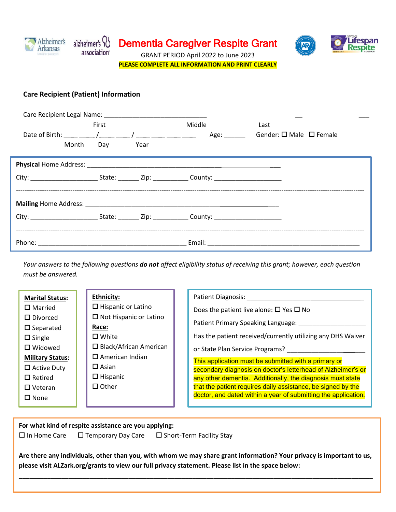

Dementia Caregiver Respite Grant



GRANT PERIOD April 2022 to June 2023 **PLEASE COMPLETE ALL INFORMATION AND PRINT CLEARLY**

### **Care Recipient (Patient) Information**

|  |           | First |        | Middle                                                                                                    | Last                                    |  |
|--|-----------|-------|--------|-----------------------------------------------------------------------------------------------------------|-----------------------------------------|--|
|  |           |       |        | Age:                                                                                                      | Gender: $\square$ Male $\square$ Female |  |
|  | Month Day |       | - Year |                                                                                                           |                                         |  |
|  |           |       |        |                                                                                                           |                                         |  |
|  |           |       |        | City: _____________________________State: __________Zip: _______________County: _________________________ |                                         |  |
|  |           |       |        |                                                                                                           |                                         |  |
|  |           |       |        | City: ____________________________State: __________Zip: _______________County: __________________________ |                                         |  |
|  |           |       |        |                                                                                                           |                                         |  |

*Your answers to the following questions do not affect eligibility status of receiving this grant; however, each question must be answered.*

**For what kind of respite assistance are you applying:**  $\square$  In Home Care  $\square$  Temporary Day Care  $\square$  Short-Term Facility Stay

**Are there any individuals, other than you, with whom we may share grant information? Your privacy is important to us, please visit ALZark.org/grants to view our full privacy statement. Please list in the space below:**

**\_\_\_\_\_\_\_\_\_\_\_\_\_\_\_\_\_\_\_\_\_\_\_\_\_\_\_\_\_\_\_\_\_\_\_\_\_\_\_\_\_\_\_\_\_\_\_\_\_\_\_\_\_\_\_\_\_\_\_\_\_\_\_\_\_\_\_\_\_\_\_\_\_\_\_\_\_\_\_\_\_\_\_\_\_\_\_\_\_\_\_\_\_\_\_\_\_\_\_\_**